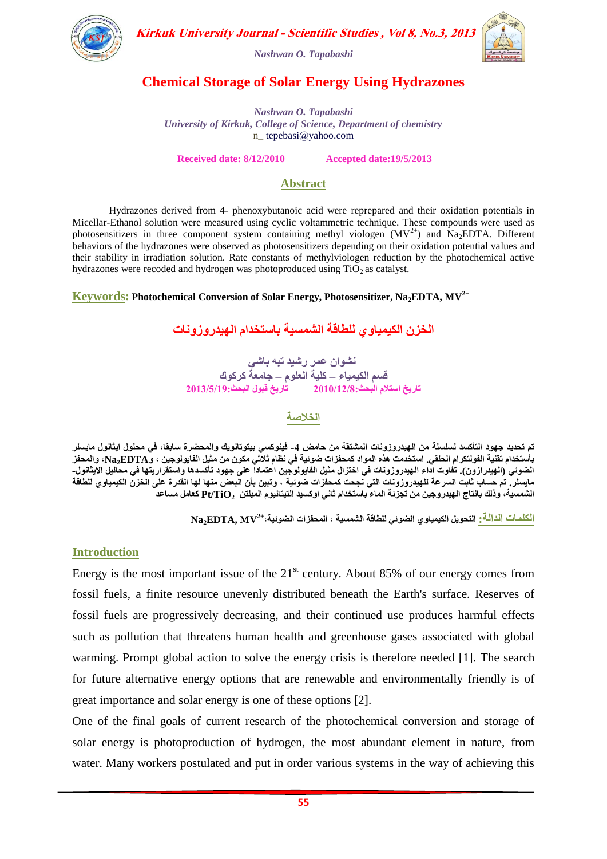

Kirkuk University Journal - Scientific Studies, Vol 8, No.3, 2013

*Nashwan O. Tapabashi*

### **Chemical Storage of Solar Energy Using Hydrazones**

*Nashwan O. Tapabashi University of Kirkuk, College of Science, Department of chemistry* n\_ [tepebasi@yahoo.com](mailto:tepebasi@yahoo.com)

**Received date: 8/12/2010 Accepted date:19/5/2013**

### **Abstract**

Hydrazones derived from 4- phenoxybutanoic acid were reprepared and their oxidation potentials in Micellar-Ethanol solution were measured using cyclic voltammetric technique. These compounds were used as photosensitizers in three component system containing methyl viologen  $(MV^{2+})$  and Na<sub>2</sub>EDTA. Different behaviors of the hydrazones were observed as photosensitizers depending on their oxidation potential values and their stability in irradiation solution. Rate constants of methylviologen reduction by the photochemical active hydrazones were recoded and hydrogen was photoproduced using  $TiO<sub>2</sub>$  as catalyst.

**2+ Keywords: Photochemical Conversion of Solar Energy, Photosensitizer, Na2EDTA, MV**

الخزن الكيمياوى للطاقة الشَمسية باستخدام الهيدروزونات

نشوان عمر رشيد تبه باش*ي* قسم الكيمياء – كلية العلوم – **ج**امعة كركوك **حاسٌخ اسخالً اىبحث2010/12/8: حاسٌخ قب٘ه اىبحث2013/5/11:**

**اىخالصت**

تم تحديد جهود التأكسد لسلسلة من الهيدروزونات المشتقة من حامض 4- فينوكس*ي* بيتوتانويك والمحضرة سابقا، ف*ي م*حلول ايثانول مايسلر بأستخدام تقنية الفولتكرام الحلقي. استخدمت هذه المواد كمحفزات ضوئية في نظام ثلاثي مكون من مثيل الفايولوجين ، وNa<sub>2</sub>EDTA، والمحفز الضوئ*ي* (الهيدرازون). تفاوت اداء الهيدروزونات في اختزال مثيل الفايولوجين اعتماداً على جهود تأكسدها واستقراريتها في محاليل الايثانول-مايسلر ٍ تم حساب ثابت السرعة للهيدروزونات التي نجحت كمحفزات ضوئية ، وتبين بأن البعض منها لها القدرة عل*ى* الخزن الكيمياوي للطاقة الشَمسية، وذلك بانتاج الهيدروجين من تجزئة الماء باستخدام ثانى اوكسيد التيتانيوم المبلتن Pt/TiO كعامل مساعد

**2+ اىنيَاث اىذاىت: اىخحٌ٘و اىنٍٍَاٗي اىض٘ئً ىيطاقت اىشَسٍت ، اىَحفضاث اىض٘ئٍت، MV ,EDTA2Na**

### **Introduction**

Energy is the most important issue of the  $21<sup>st</sup>$  century. About 85% of our energy comes from fossil fuels, a finite resource unevenly distributed beneath the Earth's surface. Reserves of fossil fuels are progressively decreasing, and their continued use produces harmful effects such as pollution that threatens human health and greenhouse gases associated with global warming. Prompt global action to solve the energy crisis is therefore needed [1]. The search for future alternative energy options that are renewable and environmentally friendly is of great importance and solar energy is one of these options [2].

One of the final goals of current research of the photochemical conversion and storage of solar energy is photoproduction of hydrogen, the most abundant element in nature, from water. Many workers postulated and put in order various systems in the way of achieving this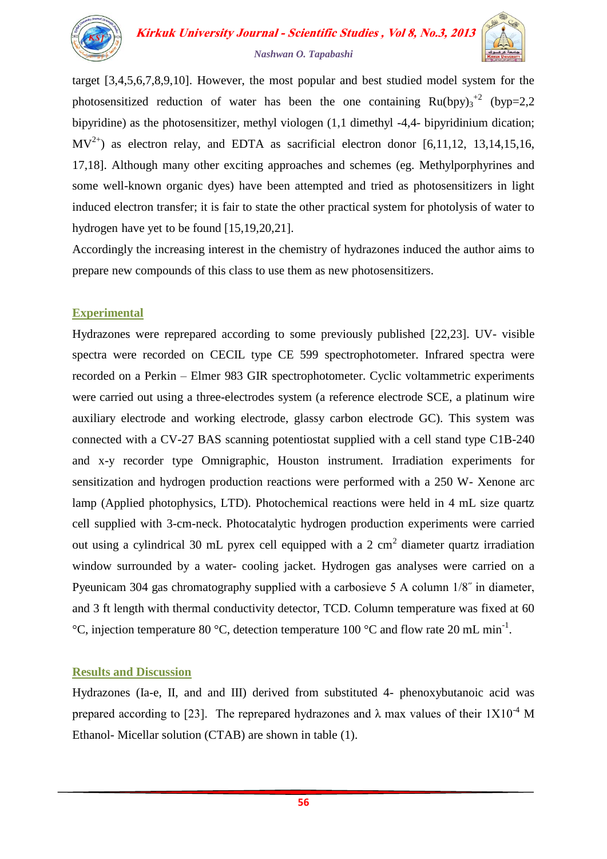

**Kirkuk University Journal - Scientific Studies, Vol 8, No.3, 2013** *Nashwan O. Tapabashi*

target [3,4,5,6,7,8,9,10]. However, the most popular and best studied model system for the photosensitized reduction of water has been the one containing  $Ru(bpy)_{3}^{2}$  (byp=2,2) bipyridine) as the photosensitizer, methyl viologen (1,1 dimethyl -4,4- bipyridinium dication;  $MV^{2+}$ ) as electron relay, and EDTA as sacrificial electron donor [6,11,12, 13,14,15,16, 17,18]. Although many other exciting approaches and schemes (eg. Methylporphyrines and some well-known organic dyes) have been attempted and tried as photosensitizers in light induced electron transfer; it is fair to state the other practical system for photolysis of water to hydrogen have yet to be found [15,19,20,21].

Accordingly the increasing interest in the chemistry of hydrazones induced the author aims to prepare new compounds of this class to use them as new photosensitizers.

### **Experimental**

Hydrazones were reprepared according to some previously published [22,23]. UV- visible spectra were recorded on CECIL type CE 599 spectrophotometer. Infrared spectra were recorded on a Perkin – Elmer 983 GIR spectrophotometer. Cyclic voltammetric experiments were carried out using a three-electrodes system (a reference electrode SCE, a platinum wire auxiliary electrode and working electrode, glassy carbon electrode GC). This system was connected with a CV-27 BAS scanning potentiostat supplied with a cell stand type C1B-240 and x-y recorder type Omnigraphic, Houston instrument. Irradiation experiments for sensitization and hydrogen production reactions were performed with a 250 W- Xenone arc lamp (Applied photophysics, LTD). Photochemical reactions were held in 4 mL size quartz cell supplied with 3-cm-neck. Photocatalytic hydrogen production experiments were carried out using a cylindrical 30 mL pyrex cell equipped with a 2 cm<sup>2</sup> diameter quartz irradiation window surrounded by a water- cooling jacket. Hydrogen gas analyses were carried on a Pyeunicam 304 gas chromatography supplied with a carbosieve 5 A column 1/8˝ in diameter, and 3 ft length with thermal conductivity detector, TCD. Column temperature was fixed at 60 °C, injection temperature 80 °C, detection temperature 100 °C and flow rate 20 mL min<sup>-1</sup>.

### **Results and Discussion**

Hydrazones (Ia-e, II, and and III) derived from substituted 4- phenoxybutanoic acid was prepared according to [23]. The reprepared hydrazones and  $\lambda$  max values of their  $1X10^{-4}$  M Ethanol- Micellar solution (CTAB) are shown in table (1).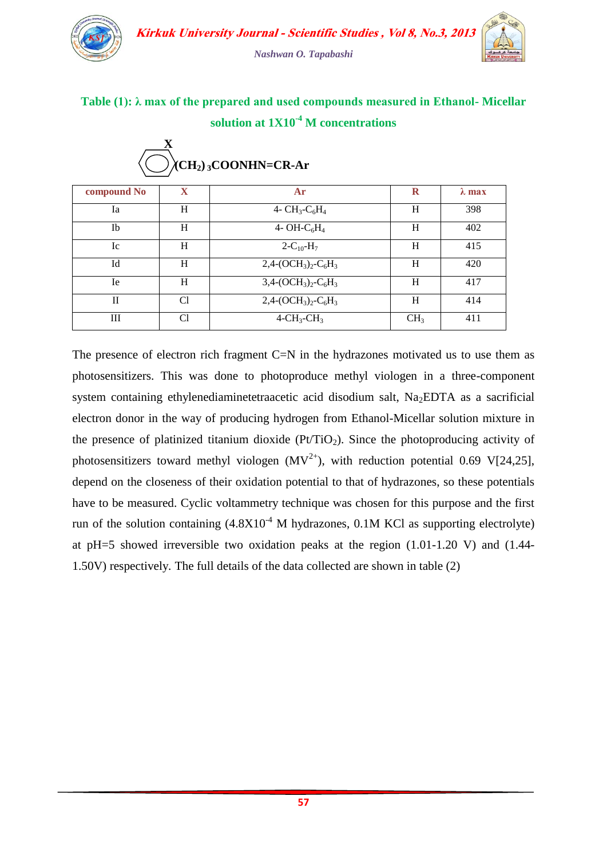

## **Table (1): λ max of the prepared and used compounds measured in Ethanol- Micellar solution at 1X10-4 M concentrations**

| compound No | $\mathbf x$    | Ar                          | $\mathbf R$     | $\lambda$ max |
|-------------|----------------|-----------------------------|-----------------|---------------|
| Ia          | H              | 4- $CH_3$ - $C_6H_4$        | H               | 398           |
| <b>Ib</b>   | H              | 4- OH- $C_6H_4$             | H               | 402           |
| Ic          | H              | $2 - C_{10} - H_7$          | H               | 415           |
| Id          | H              | $2,4-(OCH3)2-C6H3$          | H               | 420           |
| Ie.         | H              | $3,4-(OCH3)2-C6H3$          | H               | 417           |
| П           | C1             | $2,4-(OCH3)2-C6H3$          | H               | 414           |
| Ш           | C <sub>1</sub> | $4\text{-CH}_3\text{-CH}_3$ | CH <sub>3</sub> | 411           |

### **X - O(CH2) <sup>3</sup>COONHN=CR-Ar**

The presence of electron rich fragment C=N in the hydrazones motivated us to use them as photosensitizers. This was done to photoproduce methyl viologen in a three-component system containing ethylenediaminetetraacetic acid disodium salt,  $Na<sub>2</sub>EDTA$  as a sacrificial electron donor in the way of producing hydrogen from Ethanol-Micellar solution mixture in the presence of platinized titanium dioxide  $(Pt/TiO<sub>2</sub>)$ . Since the photoproducing activity of photosensitizers toward methyl viologen  $(MV^{2+})$ , with reduction potential 0.69 V[24,25], depend on the closeness of their oxidation potential to that of hydrazones, so these potentials have to be measured. Cyclic voltammetry technique was chosen for this purpose and the first run of the solution containing  $(4.8X10<sup>-4</sup> M)$  hydrazones, 0.1M KCl as supporting electrolyte) at pH=5 showed irreversible two oxidation peaks at the region (1.01-1.20 V) and (1.44- 1.50V) respectively. The full details of the data collected are shown in table (2)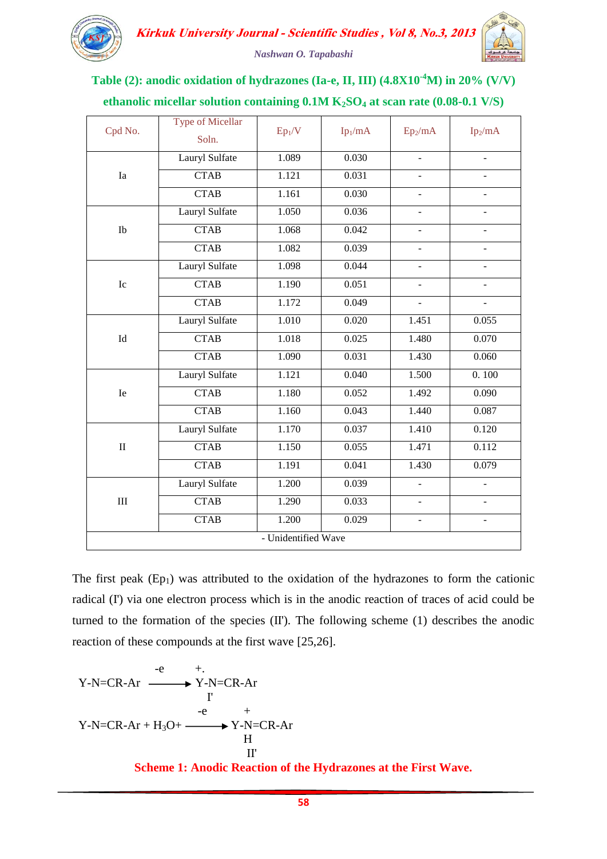

# **Table (2): anodic oxidation of hydrazones (Ia-e, II, III) (4.8X10-4M) in 20% (V/V) ethanolic micellar solution containing 0.1M K2SO<sup>4</sup> at scan rate (0.08-0.1 V/S)**

| Cpd No.                          | <b>Type of Micellar</b><br>Soln. | Ep <sub>1</sub> /V | Ip <sub>1</sub> /mA | $Ep_2/mA$                | Ip <sub>2</sub> /mA |
|----------------------------------|----------------------------------|--------------------|---------------------|--------------------------|---------------------|
| Ia                               | Lauryl Sulfate                   | 1.089              | 0.030               | $\overline{\phantom{a}}$ | $\overline{a}$      |
|                                  | <b>CTAB</b>                      | 1.121              | 0.031               | $\overline{a}$           |                     |
|                                  | <b>CTAB</b>                      | 1.161              | 0.030               | $\blacksquare$           | $\blacksquare$      |
| Ib                               | Lauryl Sulfate                   | 1.050              | 0.036               | $\overline{a}$           | ÷,                  |
|                                  | <b>CTAB</b>                      | 1.068              | 0.042               | $\overline{a}$           | $\overline{a}$      |
|                                  | <b>CTAB</b>                      | 1.082              | 0.039               | $\overline{a}$           | $\overline{a}$      |
| ${\rm Ic}$                       | Lauryl Sulfate                   | 1.098              | 0.044               | $\overline{a}$           |                     |
|                                  | <b>CTAB</b>                      | 1.190              | 0.051               |                          |                     |
|                                  | <b>CTAB</b>                      | 1.172              | 0.049               | $\overline{\phantom{0}}$ |                     |
| $\ensuremath{\operatorname{Id}}$ | Lauryl Sulfate                   | 1.010              | 0.020               | 1.451                    | 0.055               |
|                                  | <b>CTAB</b>                      | 1.018              | 0.025               | 1.480                    | 0.070               |
|                                  | <b>CTAB</b>                      | 1.090              | 0.031               | 1.430                    | 0.060               |
| Ie                               | Lauryl Sulfate                   | 1.121              | 0.040               | 1.500                    | 0.100               |
|                                  | <b>CTAB</b>                      | 1.180              | 0.052               | 1.492                    | 0.090               |
|                                  | <b>CTAB</b>                      | 1.160              | 0.043               | 1.440                    | 0.087               |
| $\rm II$                         | Lauryl Sulfate                   | 1.170              | 0.037               | 1.410                    | 0.120               |
|                                  | <b>CTAB</b>                      | 1.150              | 0.055               | 1.471                    | 0.112               |
|                                  | <b>CTAB</b>                      | 1.191              | 0.041               | 1.430                    | 0.079               |
| $\rm III$                        | Lauryl Sulfate                   | 1.200              | 0.039               | $\overline{a}$           | $\overline{a}$      |
|                                  | <b>CTAB</b>                      | 1.290              | 0.033               |                          |                     |
|                                  | <b>CTAB</b>                      | 1.200              | 0.029               | $\overline{\phantom{a}}$ | ÷,                  |
| - Unidentified Wave              |                                  |                    |                     |                          |                     |

The first peak  $(Ep_1)$  was attributed to the oxidation of the hydrazones to form the cationic radical (I') via one electron process which is in the anodic reaction of traces of acid could be turned to the formation of the species (II'). The following scheme (1) describes the anodic reaction of these compounds at the first wave [25,26].

$$
-e + .
$$
  
\nY-N=CR-Ar  
\n
$$
Y-N=CR-Ar + H_3O + \xrightarrow{e} Y-N=CR-Ar
$$
  
\nH  
\nII'  
\n  
\n**Scheme 1: Anodic Reaction of the Hydrozones at the First Wave.**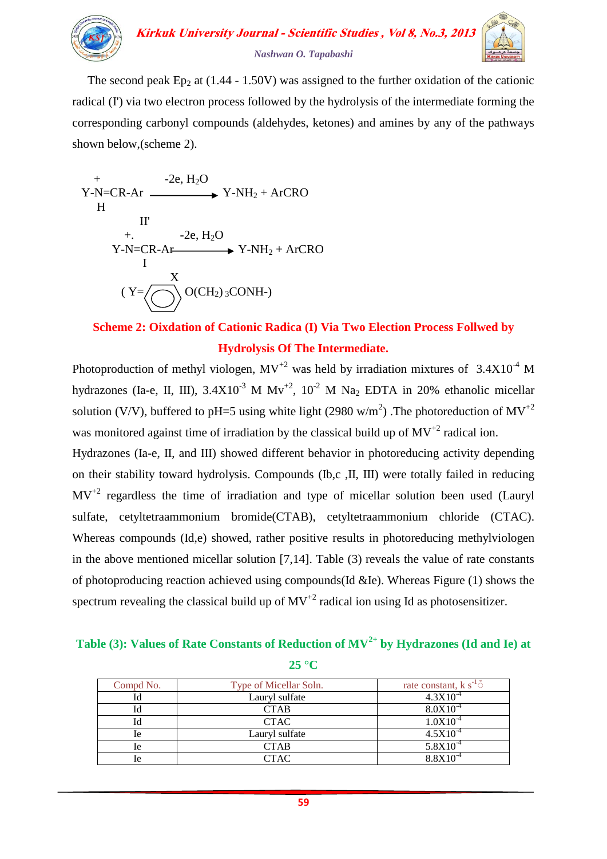

The second peak Ep<sub>2</sub> at  $(1.44 - 1.50V)$  was assigned to the further oxidation of the cationic radical (I') via two electron process followed by the hydrolysis of the intermediate forming the corresponding carbonyl compounds (aldehydes, ketones) and amines by any of the pathways shown below,(scheme 2).

$$
Y-N=CR-Ar
$$
  
\n
$$
Y-N+1
$$
  
\n
$$
H
$$
  
\nII'  
\n
$$
-2e, H_2O
$$
  
\n
$$
Y-N+1
$$
  
\n
$$
-2e, H_2O
$$
  
\n
$$
Y-N+1
$$
  
\n
$$
Y-N+1
$$
  
\n
$$
Y-N+1
$$
  
\n
$$
Y-N+1
$$
  
\n
$$
Y-N+1
$$
  
\n
$$
Y-N+1
$$
  
\n
$$
Y-N+1
$$
  
\n
$$
Y-N+1
$$
  
\n
$$
Y-N+1
$$
  
\n
$$
Y-N+1
$$
  
\n
$$
Y-N+1
$$
  
\n
$$
Y-N+1
$$
  
\n
$$
Y-N+1
$$
  
\n
$$
Y-N+1
$$
  
\n
$$
Y-N+1
$$
  
\n
$$
Y-N+1
$$
  
\n
$$
Y-N+1
$$
  
\n
$$
Y-N+1
$$
  
\n
$$
Y-N+1
$$
  
\n
$$
Y-N+1
$$
  
\n
$$
Y-N+1
$$
  
\n
$$
Y-N+1
$$
  
\n
$$
Y-N+1
$$
  
\n
$$
Y-N+1
$$
  
\n
$$
Y-N+1
$$
  
\n
$$
Y-N+1
$$
  
\n
$$
Y-N+1
$$
  
\n
$$
Y-N+1
$$
  
\n
$$
Y-N+1
$$
  
\n
$$
Y-N+1
$$
  
\n
$$
Y-N+1
$$
  
\n
$$
Y-N+1
$$
  
\n
$$
Y-N+1
$$
  
\n
$$
Y-N+1
$$
  
\n
$$
Y-N+1
$$
  
\n
$$
Y-N+1
$$
  
\n
$$
Y-N+1
$$
  
\n
$$
Y-N+1
$$
  
\n
$$
Y-N+1
$$
  
\n
$$
Y-N+1
$$
  
\n
$$
Y-N+1
$$
  
\n<

# **Scheme 2: Oixdation of Cationic Radica (I) Via Two Election Process Follwed by Hydrolysis Of The Intermediate.**

Photoproduction of methyl viologen,  $MV^{+2}$  was held by irradiation mixtures of 3.4X10<sup>-4</sup> M hydrazones (Ia-e, II, III),  $3.4X10^{-3}$  M Mv<sup>+2</sup>,  $10^{-2}$  M Na<sub>2</sub> EDTA in 20% ethanolic micellar solution (V/V), buffered to pH=5 using white light (2980 w/m<sup>2</sup>). The photoreduction of  $MV^{+2}$ was monitored against time of irradiation by the classical build up of  $MV^{+2}$  radical ion.

Hydrazones (Ia-e, II, and III) showed different behavior in photoreducing activity depending on their stability toward hydrolysis. Compounds (Ib,c ,II, III) were totally failed in reducing  $MV^{+2}$  regardless the time of irradiation and type of micellar solution been used (Lauryl sulfate, cetyltetraammonium bromide(CTAB), cetyltetraammonium chloride (CTAC). Whereas compounds (Id,e) showed, rather positive results in photoreducing methylviologen in the above mentioned micellar solution [7,14]. Table (3) reveals the value of rate constants of photoproducing reaction achieved using compounds(Id &Ie). Whereas Figure (1) shows the spectrum revealing the classical build up of  $MV^{-2}$  radical ion using Id as photosensitizer.

### **Table (3): Values of Rate Constants of Reduction of MV2+ by Hydrazones (Id and Ie) at 25 °C**

| Compd No. | Type of Micellar Soln. | rate constant, $k s^{-1}$ |
|-----------|------------------------|---------------------------|
|           | Lauryl sulfate         | $4.3X10^{-4}$             |
|           | <b>CTAB</b>            | $8.0X10^{-4}$             |
|           | <b>CTAC</b>            | $1.0X10^{-4}$             |
| 1e        | Lauryl sulfate         | $4.5X10^{-4}$             |
| le        | CTAB                   | $5.8X10^{-4}$             |
| le        | CTAC                   | $8.8X10^{-4}$             |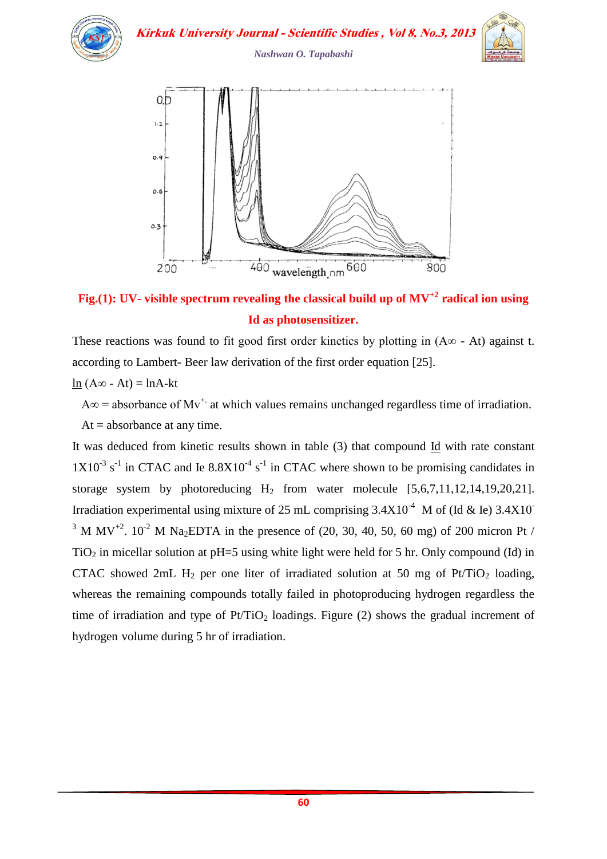

**Kirkuk University Journal - Scientific Studies, Vol 8, No.3, 2013** 



*Nashwan O. Tapabashi*



**Fig.(1): UV- visible spectrum revealing the classical build up of MV+2 radical ion using Id as photosensitizer.**

These reactions was found to fit good first order kinetics by plotting in  $(A\infty - At)$  against t. according to Lambert- Beer law derivation of the first order equation [25].

ln  $(A∞ - At) = lnA-kt$ 

 $A\infty$  = absorbance of Mv<sup>+.</sup> at which values remains unchanged regardless time of irradiation.

 $At = absorbance at any time.$ 

It was deduced from kinetic results shown in table (3) that compound Id with rate constant  $1X10^{-3}$  s<sup>-1</sup> in CTAC and Ie 8.8X10<sup>-4</sup> s<sup>-1</sup> in CTAC where shown to be promising candidates in storage system by photoreducing  $H_2$  from water molecule  $[5,6,7,11,12,14,19,20,21]$ . Irradiation experimental using mixture of 25 mL comprising  $3.4X10^{-4}$  M of (Id & Ie)  $3.4X10^{-4}$ <sup>3</sup> M MV<sup>+2</sup>. 10<sup>-2</sup> M Na<sub>2</sub>EDTA in the presence of (20, 30, 40, 50, 60 mg) of 200 micron Pt /  $TiO<sub>2</sub>$  in micellar solution at pH=5 using white light were held for 5 hr. Only compound (Id) in CTAC showed 2mL  $H_2$  per one liter of irradiated solution at 50 mg of Pt/TiO<sub>2</sub> loading, whereas the remaining compounds totally failed in photoproducing hydrogen regardless the time of irradiation and type of  $Pt/TiO<sub>2</sub>$  loadings. Figure (2) shows the gradual increment of hydrogen volume during 5 hr of irradiation.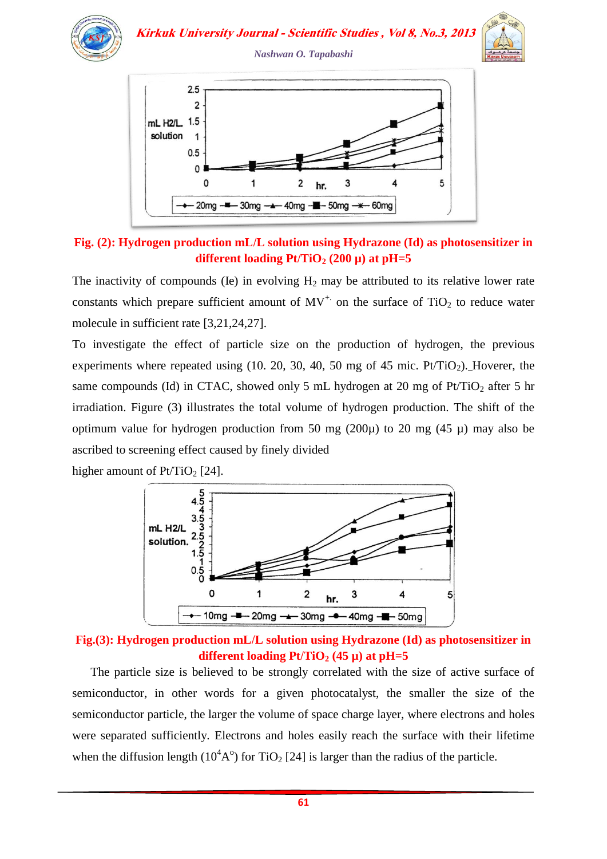



The inactivity of compounds (Ie) in evolving  $H_2$  may be attributed to its relative lower rate constants which prepare sufficient amount of  $MV^+$  on the surface of TiO<sub>2</sub> to reduce water molecule in sufficient rate [3,21,24,27].

To investigate the effect of particle size on the production of hydrogen, the previous experiments where repeated using  $(10, 20, 30, 40, 50 \text{ mg of } 45 \text{ mic. Pt/TiO}_2)$ . Hoverer, the same compounds (Id) in CTAC, showed only 5 mL hydrogen at 20 mg of  $Pt/TiO<sub>2</sub>$  after 5 hr irradiation. Figure (3) illustrates the total volume of hydrogen production. The shift of the optimum value for hydrogen production from 50 mg (200 $\mu$ ) to 20 mg (45  $\mu$ ) may also be ascribed to screening effect caused by finely divided





**Fig.(3): Hydrogen production mL/L solution using Hydrazone (Id) as photosensitizer in different loading Pt/TiO<sub>2</sub> (45**  $\mu$ **) at pH=5** 

 The particle size is believed to be strongly correlated with the size of active surface of semiconductor, in other words for a given photocatalyst, the smaller the size of the semiconductor particle, the larger the volume of space charge layer, where electrons and holes were separated sufficiently. Electrons and holes easily reach the surface with their lifetime when the diffusion length  $(10^4A^{\circ})$  for TiO<sub>2</sub> [24] is larger than the radius of the particle.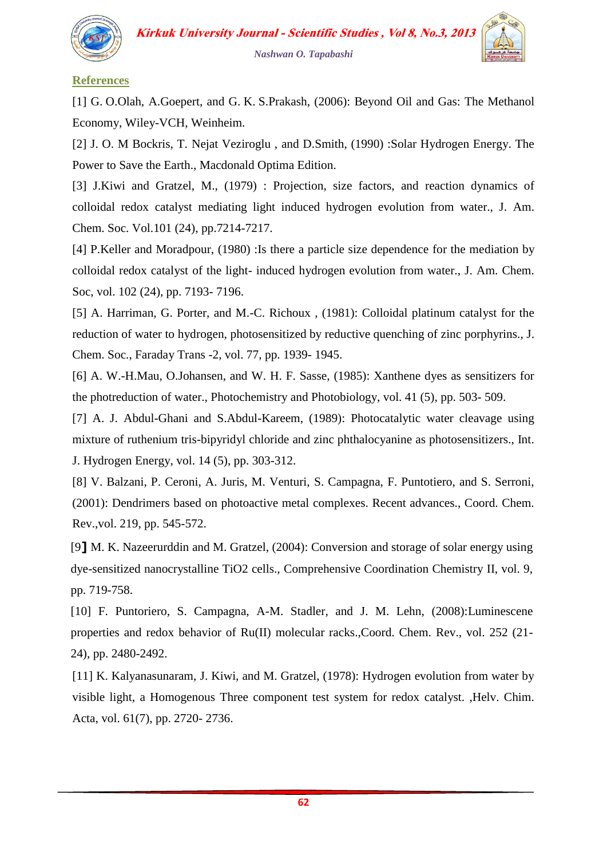

### **References**

[1] G. O.Olah, A.Goepert, and G. K. S.Prakash, (2006): Beyond Oil and Gas: The Methanol Economy, Wiley-VCH, Weinheim.

[2] J. O. M Bockris, T. Nejat Veziroglu, and D.Smith, (1990) :Solar Hydrogen Energy. The Power to Save the Earth., Macdonald Optima Edition.

[3] J.Kiwi and Gratzel, M., (1979) : Projection, size factors, and reaction dynamics of colloidal redox catalyst mediating light induced hydrogen evolution from water., J. Am. Chem. Soc. Vol.101 (24), pp.7214-7217.

[4] P.Keller and Moradpour, (1980) : Is there a particle size dependence for the mediation by colloidal redox catalyst of the light- induced hydrogen evolution from water., J. Am. Chem. Soc, vol. 102 (24), pp. 7193- 7196.

[5] A. Harriman, G. Porter, and M.-C. Richoux , (1981): Colloidal platinum catalyst for the reduction of water to hydrogen, photosensitized by reductive quenching of zinc porphyrins., J. Chem. Soc., Faraday Trans -2, vol. 77, pp. 1939- 1945.

[6] A. W.-H.Mau, O.Johansen, and W. H. F. Sasse, (1985): Xanthene dyes as sensitizers for the photreduction of water., Photochemistry and Photobiology, vol. 41 (5), pp. 503- 509.

[7] A. J. Abdul-Ghani and S.Abdul-Kareem, (1989): Photocatalytic water cleavage using mixture of ruthenium tris-bipyridyl chloride and zinc phthalocyanine as photosensitizers., Int. J. Hydrogen Energy, vol. 14 (5), pp. 303-312.

[8] V. Balzani, P. Ceroni, A. Juris, M. Venturi, S. Campagna, F. Puntotiero, and S. Serroni, (2001): Dendrimers based on photoactive metal complexes. Recent advances., Coord. Chem. Rev.,vol. 219, pp. 545-572.

[9**]** M. K. Nazeerurddin and M. Gratzel, (2004): Conversion and storage of solar energy using dye-sensitized nanocrystalline TiO2 cells., Comprehensive Coordination Chemistry II, vol. 9, pp. 719-758.

[10] F. Puntoriero, S. Campagna, A-M. Stadler, and J. M. Lehn, (2008):Luminescene properties and redox behavior of Ru(II) molecular racks.,Coord. Chem. Rev., vol. 252 (21- 24), pp. 2480-2492.

[11] K. Kalyanasunaram, J. Kiwi, and M. Gratzel, (1978): Hydrogen evolution from water by visible light, a Homogenous Three component test system for redox catalyst. ,Helv. Chim. Acta, vol. 61(7), pp. 2720- 2736.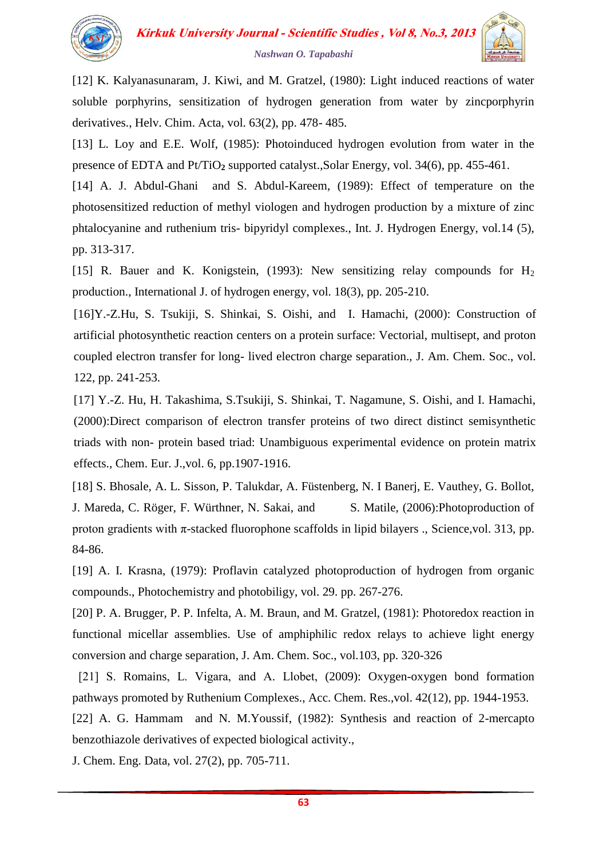

[12] K. Kalyanasunaram, J. Kiwi, and M. Gratzel, (1980): Light induced reactions of water soluble porphyrins, sensitization of hydrogen generation from water by zincporphyrin derivatives., Helv. Chim. Acta, vol. 63(2), pp. 478- 485.

[13] L. Loy and E.E. Wolf, (1985): Photoinduced hydrogen evolution from water in the presence of EDTA and Pt/TiO**<sup>2</sup>** supported catalyst.,Solar Energy, vol. 34(6), pp. 455-461.

[14] A. J. Abdul-Ghani and S. Abdul-Kareem, (1989): Effect of temperature on the photosensitized reduction of methyl viologen and hydrogen production by a mixture of zinc phtalocyanine and ruthenium tris- bipyridyl complexes., Int. J. Hydrogen Energy, vol.14 (5), pp. 313-317.

[15] R. Bauer and K. Konigstein, (1993): New sensitizing relay compounds for  $H_2$ production., International J. of hydrogen energy, vol. 18(3), pp. 205-210.

[16]Y.-Z.Hu, S. Tsukiji, S. Shinkai, S. Oishi, and I. Hamachi, (2000): Construction of artificial photosynthetic reaction centers on a protein surface: Vectorial, multisept, and proton coupled electron transfer for long- lived electron charge separation., J. Am. Chem. Soc., vol. 122, pp. 241-253.

[17] Y.-Z. Hu, H. Takashima, S.Tsukiji, S. Shinkai, T. Nagamune, S. Oishi, and I. Hamachi, (2000):Direct comparison of electron transfer proteins of two direct distinct semisynthetic triads with non- protein based triad: Unambiguous experimental evidence on protein matrix effects., Chem. Eur. J.,vol. 6, pp.1907-1916.

[18] S. Bhosale, A. L. Sisson, P. Talukdar, A. Füstenberg, N. I Banerj, E. Vauthey, G. Bollot, J. Mareda, C. Röger, F. Würthner, N. Sakai, and S. Matile, (2006): Photoproduction of proton gradients with  $\pi$ -stacked fluorophone scaffolds in lipid bilayers ., Science, vol. 313, pp. 84-86.

[19] A. I. Krasna, (1979): Proflavin catalyzed photoproduction of hydrogen from organic compounds., Photochemistry and photobiligy, vol. 29. pp. 267-276.

[20] P. A. Brugger, P. P. Infelta, A. M. Braun, and M. Gratzel, (1981): Photoredox reaction in functional micellar assemblies. Use of amphiphilic redox relays to achieve light energy conversion and charge separation, J. Am. Chem. Soc., vol.103, pp. 320-326

[21] S. Romains, L. Vigara, and A. Llobet, (2009): Oxygen-oxygen bond formation pathways promoted by Ruthenium Complexes., Acc. Chem. Res.,vol. 42(12), pp. 1944-1953.

[22] A. G. Hammam and N. M.Youssif, (1982): Synthesis and reaction of 2-mercapto benzothiazole derivatives of expected biological activity.,

J. Chem. Eng. Data, vol. 27(2), pp. 705-711.